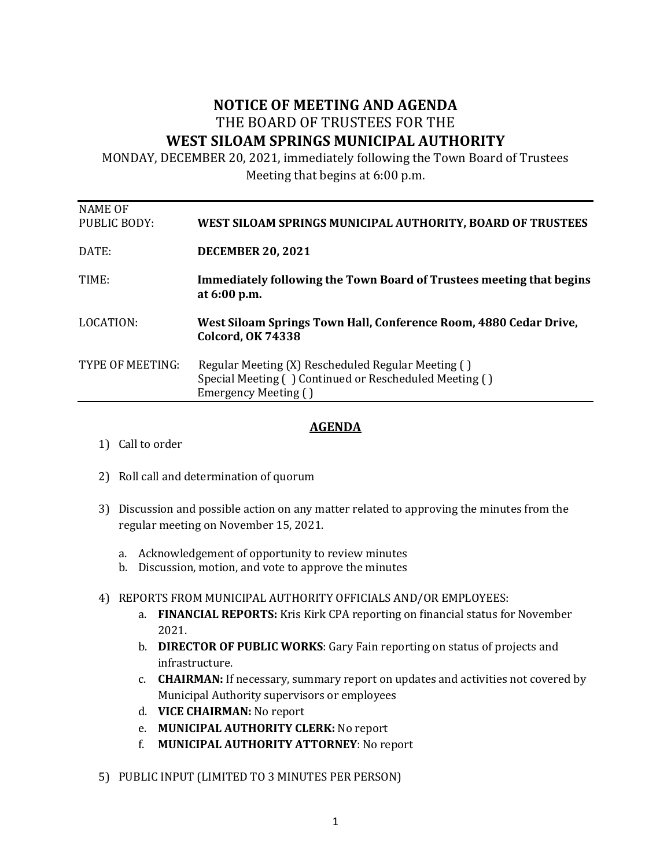## **NOTICE OF MEETING AND AGENDA** THE BOARD OF TRUSTEES FOR THE WEST SILOAM SPRINGS MUNICIPAL AUTHORITY

MONDAY, DECEMBER 20, 2021, immediately following the Town Board of Trustees

Meeting that begins at  $6:00$  p.m.

|                                | Emergency Meeting ()                                                                          |
|--------------------------------|-----------------------------------------------------------------------------------------------|
|                                | Special Meeting () Continued or Rescheduled Meeting ()                                        |
| TYPE OF MEETING:               | Regular Meeting (X) Rescheduled Regular Meeting ()                                            |
| LOCATION:                      | West Siloam Springs Town Hall, Conference Room, 4880 Cedar Drive,<br><b>Colcord, OK 74338</b> |
| TIME:                          | Immediately following the Town Board of Trustees meeting that begins<br>at 6:00 p.m.          |
| DATE:                          | <b>DECEMBER 20, 2021</b>                                                                      |
| <b>NAME OF</b><br>PUBLIC BODY: | WEST SILOAM SPRINGS MUNICIPAL AUTHORITY, BOARD OF TRUSTEES                                    |

## **AGENDA**

- 1) Call to order
- 2) Roll call and determination of quorum
- 3) Discussion and possible action on any matter related to approving the minutes from the regular meeting on November 15, 2021.
	- a. Acknowledgement of opportunity to review minutes
	- b. Discussion, motion, and vote to approve the minutes
- 4) REPORTS FROM MUNICIPAL AUTHORITY OFFICIALS AND/OR EMPLOYEES:
	- a. **FINANCIAL REPORTS:** Kris Kirk CPA reporting on financial status for November 2021.
	- b. **DIRECTOR OF PUBLIC WORKS**: Gary Fain reporting on status of projects and infrastructure.
	- c. **CHAIRMAN:** If necessary, summary report on updates and activities not covered by Municipal Authority supervisors or employees
	- d. **VICE CHAIRMAN:** No report
	- e. **MUNICIPAL AUTHORITY CLERK:** No report
	- f. **MUNICIPAL AUTHORITY ATTORNEY:** No report
- 5) PUBLIC INPUT (LIMITED TO 3 MINUTES PER PERSON)